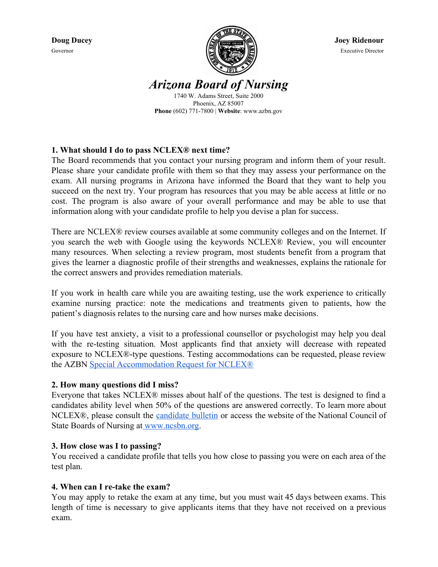

*Arizona Board of Nursing* 1740 W. Adams Street, Suite 2000 Phoenix, AZ 85007

**Phone** (602) 771-7800 | **Website**: www.azbn.gov

# **1. What should I do to pass NCLEX® next time?**

The Board recommends that you contact your nursing program and inform them of your result. Please share your candidate profile with them so that they may assess your performance on the exam. All nursing programs in Arizona have informed the Board that they want to help you succeed on the next try. Your program has resources that you may be able access at little or no cost. The program is also aware of your overall performance and may be able to use that information along with your candidate profile to help you devise a plan for success.

There are NCLEX® review courses available at some community colleges and on the Internet. If you search the web with Google using the keywords NCLEX® Review, you will encounter many resources. When selecting a review program, most students benefit from a program that gives the learner a diagnostic profile of their strengths and weaknesses, explains the rationale for the correct answers and provides remediation materials.

If you work in health care while you are awaiting testing, use the work experience to critically examine nursing practice: note the medications and treatments given to patients, how the patient's diagnosis relates to the nursing care and how nurses make decisions.

If you have test anxiety, a visit to a professional counsellor or psychologist may help you deal with the re-testing situation. Most applicants find that anxiety will decrease with repeated exposure to NCLEX®-type questions. Testing accommodations can be requested, please review the AZBN [Special Accommodation Request for NCLEX®](https://www.azbn.gov/media/2963/nclex-accommodation-request-policy.pdf)

### **2. How many questions did I miss?**

Everyone that takes NCLEX® misses about half of the questions. The test is designed to find a candidates ability level when 50% of the questions are answered correctly. To learn more about NCLEX®, please consult the [candidate](https://www.ncsbn.org/2019_Bulletin_Final.pdf) bulletin or access the website of the National Council of State Boards of Nursing at [www.ncsbn.org](http://www.ncsbn.org/).

### **3. How close was I to passing?**

You received a candidate profile that tells you how close to passing you were on each area of the test plan.

### **4. When can I re-take the exam?**

You may apply to retake the exam at any time, but you must wait 45 days between exams. This length of time is necessary to give applicants items that they have not received on a previous exam.